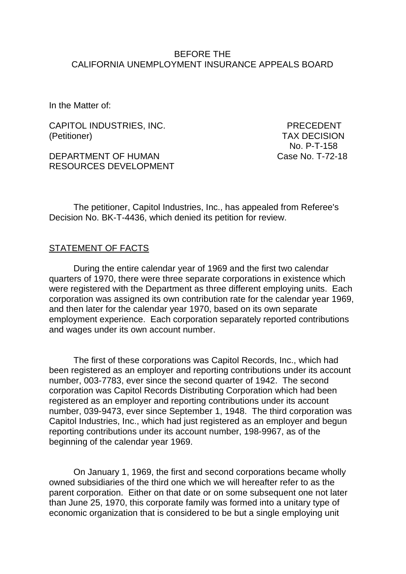#### BEFORE THE CALIFORNIA UNEMPLOYMENT INSURANCE APPEALS BOARD

In the Matter of:

CAPITOL INDUSTRIES, INC. PRECEDENT (Petitioner) TAX DECISION

DEPARTMENT OF HUMAN Case No. T-72-18 RESOURCES DEVELOPMENT

No. P-T-158

The petitioner, Capitol Industries, Inc., has appealed from Referee's Decision No. BK-T-4436, which denied its petition for review.

#### STATEMENT OF FACTS

During the entire calendar year of 1969 and the first two calendar quarters of 1970, there were three separate corporations in existence which were registered with the Department as three different employing units. Each corporation was assigned its own contribution rate for the calendar year 1969, and then later for the calendar year 1970, based on its own separate employment experience. Each corporation separately reported contributions and wages under its own account number.

The first of these corporations was Capitol Records, Inc., which had been registered as an employer and reporting contributions under its account number, 003-7783, ever since the second quarter of 1942. The second corporation was Capitol Records Distributing Corporation which had been registered as an employer and reporting contributions under its account number, 039-9473, ever since September 1, 1948. The third corporation was Capitol Industries, Inc., which had just registered as an employer and begun reporting contributions under its account number, 198-9967, as of the beginning of the calendar year 1969.

On January 1, 1969, the first and second corporations became wholly owned subsidiaries of the third one which we will hereafter refer to as the parent corporation. Either on that date or on some subsequent one not later than June 25, 1970, this corporate family was formed into a unitary type of economic organization that is considered to be but a single employing unit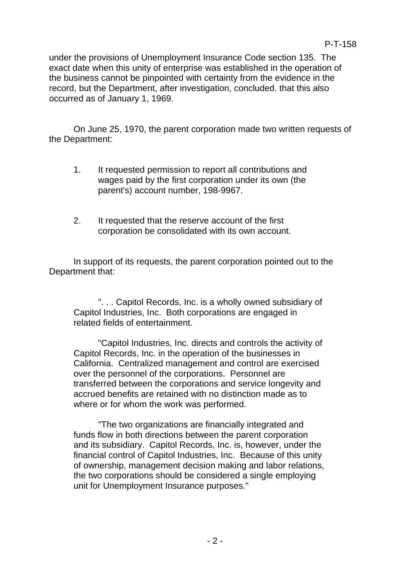under the provisions of Unemployment Insurance Code section 135. The exact date when this unity of enterprise was established in the operation of the business cannot be pinpointed with certainty from the evidence in the record, but the Department, after investigation, concluded. that this also occurred as of January 1, 1969.

On June 25, 1970, the parent corporation made two written requests of the Department:

- 1. It requested permission to report all contributions and wages paid by the first corporation under its own (the parent's) account number, 198-9967.
- 2. It requested that the reserve account of the first corporation be consolidated with its own account.

In support of its requests, the parent corporation pointed out to the Department that:

". . . Capitol Records, Inc. is a wholly owned subsidiary of Capitol Industries, Inc. Both corporations are engaged in related fields of entertainment.

"Capitol Industries, Inc. directs and controls the activity of Capitol Records, Inc. in the operation of the businesses in California. Centralized management and control are exercised over the personnel of the corporations. Personnel are transferred between the corporations and service longevity and accrued benefits are retained with no distinction made as to where or for whom the work was performed.

"The two organizations are financially integrated and funds flow in both directions between the parent corporation and its subsidiary. Capitol Records, Inc. is, however, under the financial control of Capitol Industries, Inc. Because of this unity of ownership, management decision making and labor relations, the two corporations should be considered a single employing unit for Unemployment Insurance purposes."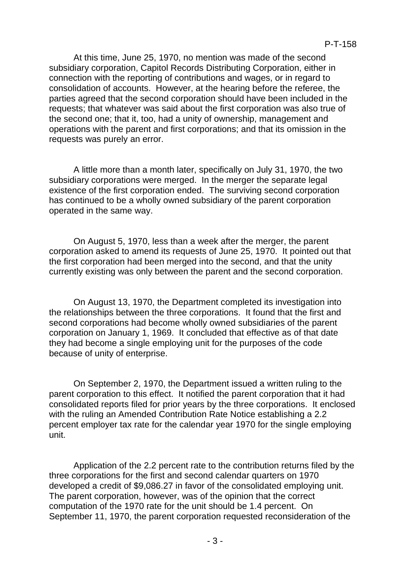At this time, June 25, 1970, no mention was made of the second subsidiary corporation, Capitol Records Distributing Corporation, either in connection with the reporting of contributions and wages, or in regard to consolidation of accounts. However, at the hearing before the referee, the parties agreed that the second corporation should have been included in the requests; that whatever was said about the first corporation was also true of the second one; that it, too, had a unity of ownership, management and operations with the parent and first corporations; and that its omission in the requests was purely an error.

A little more than a month later, specifically on July 31, 1970, the two subsidiary corporations were merged. In the merger the separate legal existence of the first corporation ended. The surviving second corporation has continued to be a wholly owned subsidiary of the parent corporation operated in the same way.

On August 5, 1970, less than a week after the merger, the parent corporation asked to amend its requests of June 25, 1970. It pointed out that the first corporation had been merged into the second, and that the unity currently existing was only between the parent and the second corporation.

On August 13, 1970, the Department completed its investigation into the relationships between the three corporations. It found that the first and second corporations had become wholly owned subsidiaries of the parent corporation on January 1, 1969. It concluded that effective as of that date they had become a single employing unit for the purposes of the code because of unity of enterprise.

On September 2, 1970, the Department issued a written ruling to the parent corporation to this effect. It notified the parent corporation that it had consolidated reports filed for prior years by the three corporations. It enclosed with the ruling an Amended Contribution Rate Notice establishing a 2.2 percent employer tax rate for the calendar year 1970 for the single employing unit.

Application of the 2.2 percent rate to the contribution returns filed by the three corporations for the first and second calendar quarters on 1970 developed a credit of \$9,086.27 in favor of the consolidated employing unit. The parent corporation, however, was of the opinion that the correct computation of the 1970 rate for the unit should be 1.4 percent. On September 11, 1970, the parent corporation requested reconsideration of the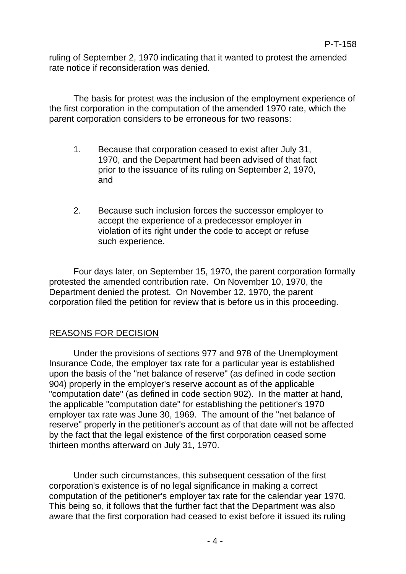ruling of September 2, 1970 indicating that it wanted to protest the amended rate notice if reconsideration was denied.

The basis for protest was the inclusion of the employment experience of the first corporation in the computation of the amended 1970 rate, which the parent corporation considers to be erroneous for two reasons:

- 1. Because that corporation ceased to exist after July 31, 1970, and the Department had been advised of that fact prior to the issuance of its ruling on September 2, 1970, and
- 2. Because such inclusion forces the successor employer to accept the experience of a predecessor employer in violation of its right under the code to accept or refuse such experience.

Four days later, on September 15, 1970, the parent corporation formally protested the amended contribution rate. On November 10, 1970, the Department denied the protest. On November 12, 1970, the parent corporation filed the petition for review that is before us in this proceeding.

# REASONS FOR DECISION

Under the provisions of sections 977 and 978 of the Unemployment Insurance Code, the employer tax rate for a particular year is established upon the basis of the "net balance of reserve" (as defined in code section 904) properly in the employer's reserve account as of the applicable "computation date" (as defined in code section 902). In the matter at hand, the applicable "computation date" for establishing the petitioner's 1970 employer tax rate was June 30, 1969. The amount of the "net balance of reserve" properly in the petitioner's account as of that date will not be affected by the fact that the legal existence of the first corporation ceased some thirteen months afterward on July 31, 1970.

Under such circumstances, this subsequent cessation of the first corporation's existence is of no legal significance in making a correct computation of the petitioner's employer tax rate for the calendar year 1970. This being so, it follows that the further fact that the Department was also aware that the first corporation had ceased to exist before it issued its ruling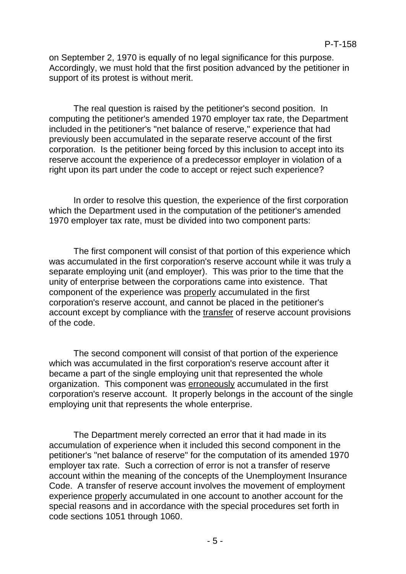on September 2, 1970 is equally of no legal significance for this purpose. Accordingly, we must hold that the first position advanced by the petitioner in support of its protest is without merit.

The real question is raised by the petitioner's second position. In computing the petitioner's amended 1970 employer tax rate, the Department included in the petitioner's "net balance of reserve," experience that had previously been accumulated in the separate reserve account of the first corporation. Is the petitioner being forced by this inclusion to accept into its reserve account the experience of a predecessor employer in violation of a right upon its part under the code to accept or reject such experience?

In order to resolve this question, the experience of the first corporation which the Department used in the computation of the petitioner's amended 1970 employer tax rate, must be divided into two component parts:

The first component will consist of that portion of this experience which was accumulated in the first corporation's reserve account while it was truly a separate employing unit (and employer). This was prior to the time that the unity of enterprise between the corporations came into existence. That component of the experience was properly accumulated in the first corporation's reserve account, and cannot be placed in the petitioner's account except by compliance with the transfer of reserve account provisions of the code.

The second component will consist of that portion of the experience which was accumulated in the first corporation's reserve account after it became a part of the single employing unit that represented the whole organization. This component was erroneously accumulated in the first corporation's reserve account. It properly belongs in the account of the single employing unit that represents the whole enterprise.

The Department merely corrected an error that it had made in its accumulation of experience when it included this second component in the petitioner's "net balance of reserve" for the computation of its amended 1970 employer tax rate. Such a correction of error is not a transfer of reserve account within the meaning of the concepts of the Unemployment Insurance Code. A transfer of reserve account involves the movement of employment experience properly accumulated in one account to another account for the special reasons and in accordance with the special procedures set forth in code sections 1051 through 1060.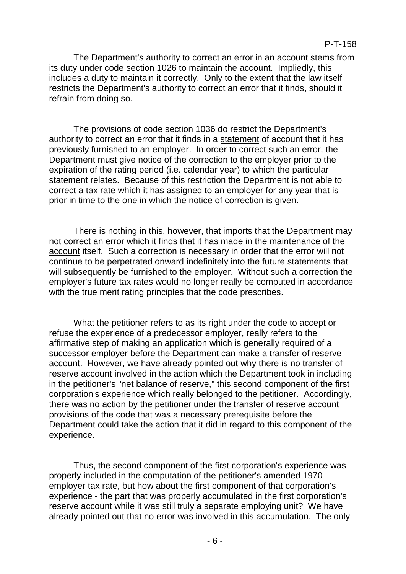The Department's authority to correct an error in an account stems from its duty under code section 1026 to maintain the account. Impliedly, this includes a duty to maintain it correctly. Only to the extent that the law itself restricts the Department's authority to correct an error that it finds, should it refrain from doing so.

The provisions of code section 1036 do restrict the Department's authority to correct an error that it finds in a statement of account that it has previously furnished to an employer. In order to correct such an error, the Department must give notice of the correction to the employer prior to the expiration of the rating period (i.e. calendar year) to which the particular statement relates. Because of this restriction the Department is not able to correct a tax rate which it has assigned to an employer for any year that is prior in time to the one in which the notice of correction is given.

There is nothing in this, however, that imports that the Department may not correct an error which it finds that it has made in the maintenance of the account itself. Such a correction is necessary in order that the error will not continue to be perpetrated onward indefinitely into the future statements that will subsequently be furnished to the employer. Without such a correction the employer's future tax rates would no longer really be computed in accordance with the true merit rating principles that the code prescribes.

What the petitioner refers to as its right under the code to accept or refuse the experience of a predecessor employer, really refers to the affirmative step of making an application which is generally required of a successor employer before the Department can make a transfer of reserve account. However, we have already pointed out why there is no transfer of reserve account involved in the action which the Department took in including in the petitioner's "net balance of reserve," this second component of the first corporation's experience which really belonged to the petitioner. Accordingly, there was no action by the petitioner under the transfer of reserve account provisions of the code that was a necessary prerequisite before the Department could take the action that it did in regard to this component of the experience.

Thus, the second component of the first corporation's experience was properly included in the computation of the petitioner's amended 1970 employer tax rate, but how about the first component of that corporation's experience - the part that was properly accumulated in the first corporation's reserve account while it was still truly a separate employing unit? We have already pointed out that no error was involved in this accumulation. The only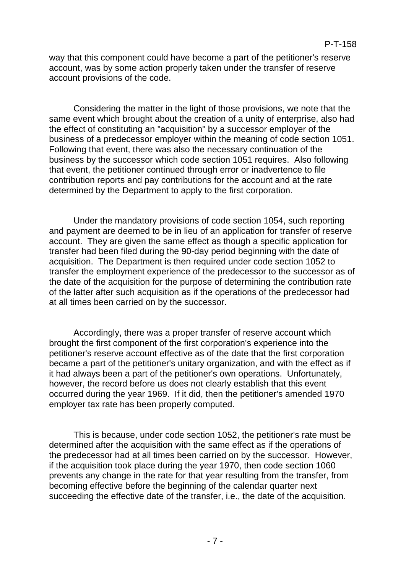way that this component could have become a part of the petitioner's reserve account, was by some action properly taken under the transfer of reserve account provisions of the code.

Considering the matter in the light of those provisions, we note that the same event which brought about the creation of a unity of enterprise, also had the effect of constituting an "acquisition" by a successor employer of the business of a predecessor employer within the meaning of code section 1051. Following that event, there was also the necessary continuation of the business by the successor which code section 1051 requires. Also following that event, the petitioner continued through error or inadvertence to file contribution reports and pay contributions for the account and at the rate determined by the Department to apply to the first corporation.

Under the mandatory provisions of code section 1054, such reporting and payment are deemed to be in lieu of an application for transfer of reserve account. They are given the same effect as though a specific application for transfer had been filed during the 90-day period beginning with the date of acquisition. The Department is then required under code section 1052 to transfer the employment experience of the predecessor to the successor as of the date of the acquisition for the purpose of determining the contribution rate of the latter after such acquisition as if the operations of the predecessor had at all times been carried on by the successor.

Accordingly, there was a proper transfer of reserve account which brought the first component of the first corporation's experience into the petitioner's reserve account effective as of the date that the first corporation became a part of the petitioner's unitary organization, and with the effect as if it had always been a part of the petitioner's own operations. Unfortunately, however, the record before us does not clearly establish that this event occurred during the year 1969. If it did, then the petitioner's amended 1970 employer tax rate has been properly computed.

This is because, under code section 1052, the petitioner's rate must be determined after the acquisition with the same effect as if the operations of the predecessor had at all times been carried on by the successor. However, if the acquisition took place during the year 1970, then code section 1060 prevents any change in the rate for that year resulting from the transfer, from becoming effective before the beginning of the calendar quarter next succeeding the effective date of the transfer, i.e., the date of the acquisition.